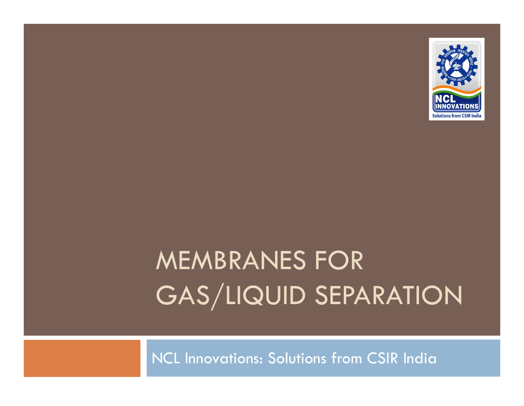

# MEMBRANES FOR GAS/LIQUID SEPARATION

NCL Innovations: Solutions from CSIR India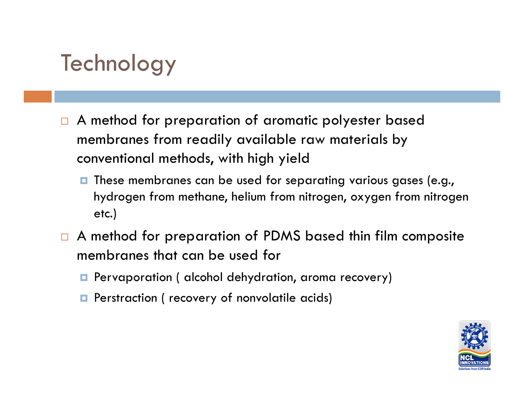#### **Technology**

- $\Box$ A method for preparation of aromatic polyester based membranes from readily available raw materials by conventional methods, with high yield
	- $\blacksquare$  These membranes can be used for separating various gases (e.g., hydrogen from methane, helium from nitrogen, oxygen from nitrogen etc.)
- $\Box$  A method for preparation of PDMS based thin film composite membranes that can be used for
	- **P** Pervaporation ( alcohol dehydration, aroma recovery)
	- **Perstraction ( recovery of nonvolatile acids)**

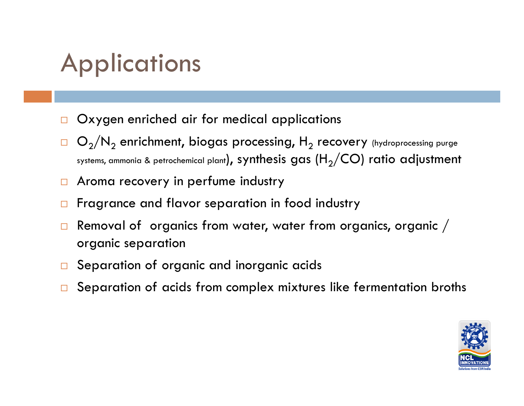## **Applications**

- $\Box$ Oxygen enriched air for medical applications
- $\Box$   $\textsf{O}_2/\textsf{N}_2$  enrichment, biogas processing,  $\textsf{H}_2$  recovery (hydroprocessing purge systems, ammonia & petrochemical plant), synthesis gas (H<sub>2</sub>/CO) ratio adjustment
- $\Box$ Aroma recovery in perfume industry
- $\Box$ Fragrance and flavor separation in food industry
- $\Box$  Removal of organics from water, water from organics, organic / organic separation
- $\Box$ Separation of organic and inorganic acids
- □ Separation of acids from complex mixtures like fermentation broths

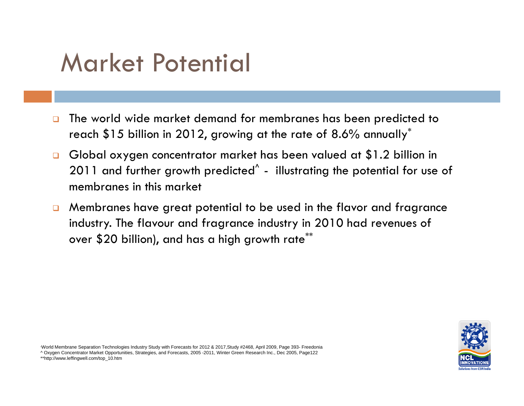### Market Potential

- $\Box$  The world wide market demand for membranes has been predicted to reach \$15 billion in 2012, growing at the rate of 8.6% annually $^\ast$
- $\Box$  Global oxygen concentrator market has been valued at \$1.2 billion in 2011 and further growth predicted<sup>^</sup> - illustrating the potential for use of membranes in this market
- $\Box$  Membranes have great potential to be used in the flavor and fragrance industry. The flavour and fragrance industry in 2010 had revenues of over \$20 billion), and has a high growth rate\*\*



\*World Membrane Separation Technologies Industry Study with Forecasts for 2012 & 2017,Study #2468, April 2009, Page 393- Freedonia ^ Oxygen Concentrator Market Opportunities, Strategies, and Forecasts, 2005 -2011, Winter Green Research Inc., Dec 2005, Page122 \*\*http://www.leffingwell.com/top\_10.htm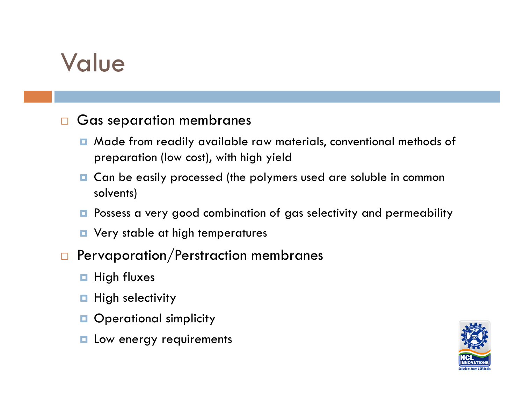#### Value

#### $\Box$ Gas separation membranes

- Made from readily available raw materials, conventional methods of preparation (low cost), with high yield
- **Q** Can be easily processed (the polymers used are soluble in common solvents)
- **P** Possess a very good combination of gas selectivity and permeability
- **D** Very stable at high temperatures
- $\Box$  Pervaporation/Perstraction membranes
	- $\blacksquare$  High fluxes
	- $\blacksquare$  High selectivity
	- **Operational simplicity**
	- **L** Low energy requirements

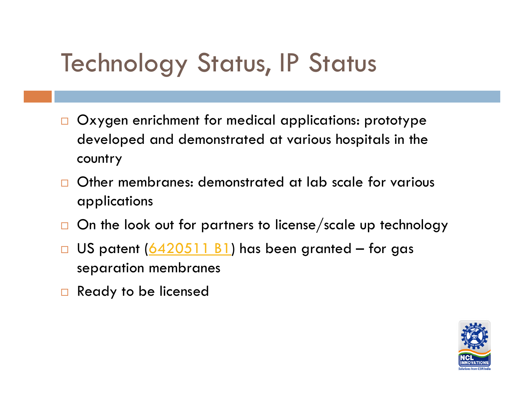## **Technology Status, IP Status**

- $\Box$  Oxygen enrichment for medical applications: prototype developed and demonstrated at various hospitals in the country
- $\Box$ Other membranes: demonstrated at lab scale for various applications
- $\Box$ On the look out for partners to license/scale up technology
- $\Box$ US patent  $(6420511 B1)$  has been granted – for gas separation membranes
- $\Box$  Ready to be licensed

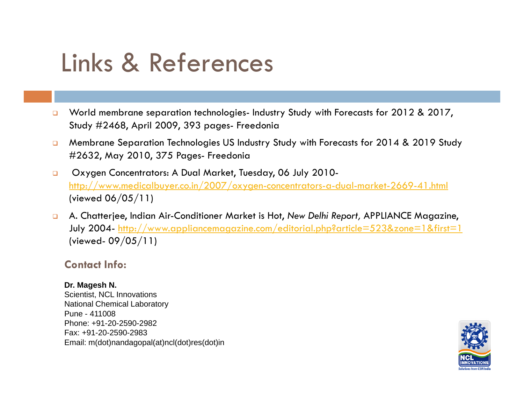## Links & References

- $\Box$  World membrane separation technologies- Industry Study with Forecasts for 2012 & 2017, Study #2468, April 2009, 393 pages- Freedonia
- $\Box$  Membrane Separation Technologies US Industry Study with Forecasts for 2014 & 2019 Study #2632, May 2010, 375 Pages- Freedonia
- $\Box$ □ Oxygen Concentrators: A Dual Market, Tuesday, 06 July 2010http://www.medicalbuyer.co.in/2007/oxygen-concentrators-a-dual-market-2669-41.html (viewed 06/05/11)
- $\Box$  A. Chatterjee, Indian Air-Conditioner Market is Hot, *New Delhi Report,* APPLIANCE Magazine, July 2004- <u>http://www.appliancemagazine.com/editorial.php?article=523&zone=1&first=1</u> (viewed- 09/05/11)

#### **Contact Info:**

#### **Dr. Magesh N.**

Scientist, NCL Innovations National Chemical Laboratory Pune - 411008Phone: +91-20-2590-2982Fax: +91-20-2590-2983 Email: m(dot)nandagopal(at)ncl(dot)res(dot)in